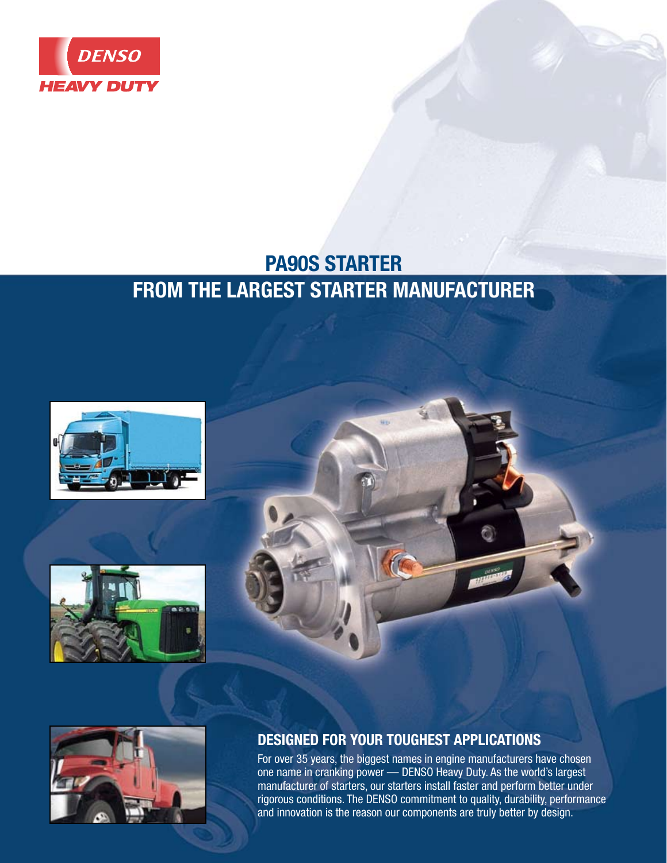

# **PA90S STARTER FROM THE LARGEST STARTER MANUFACTURER**









## **DESIGNED FOR YOUR TOUGHEST APPLICATIONS**

For over 35 years, the biggest names in engine manufacturers have chosen one name in cranking power — DENSO Heavy Duty. As the world's largest manufacturer of starters, our starters install faster and perform better under rigorous conditions. The DENSO commitment to quality, durability, performance and innovation is the reason our components are truly better by design.